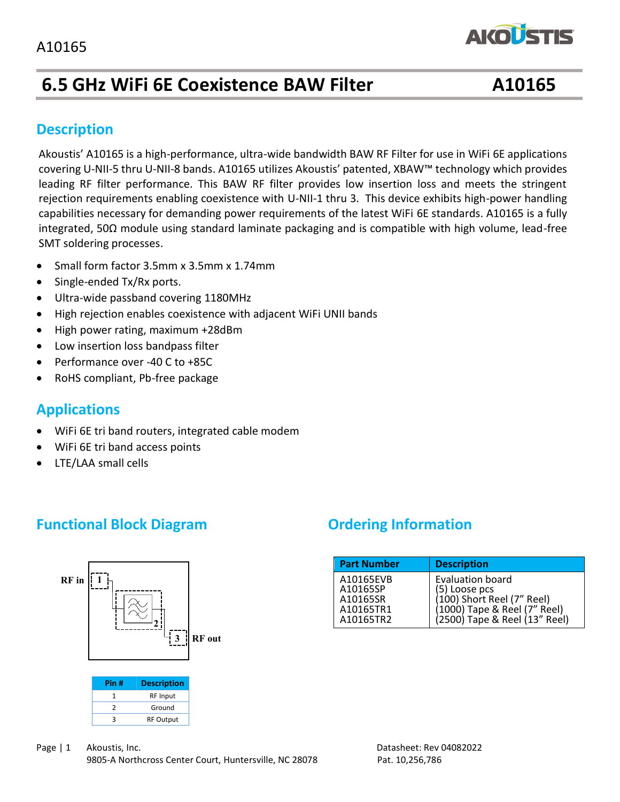# **6.5 GHz WiFi 6E Coexistence BAW Filter A10165**

**AKOLSTIS** 

#### **Description**

capabilities necessary for demanding power requirements or the fatest wirf oc standards. A10165 is a fully<br>integrated, 50Ω module using standard laminate packaging and is compatible with high volume, lead-free SMT soldering processes. Akoustis' A10165 is a high-performance, ultra-wide bandwidth BAW RF Filter for use in WiFi 6E applications covering U-NII-5 thru U-NII-8 bands. A10165 utilizes Akoustis' patented, XBAW™ technology which provides leading RF filter performance. This BAW RF filter provides low insertion loss and meets the stringent rejection requirements enabling coexistence with U-NII-1 thru 3. This device exhibits high-power handling capabilities necessary for demanding power requirements of the latest WiFi 6E standards. A10165 is a fully

- Small form factor 3.5mm x 3.5mm x 1.74mm
- Single-ended Tx/Rx ports.
- Ultra-wide passband covering 1180MHz
- High rejection enables coexistence with adjacent WiFi UNII bands
- High power rating, maximum +28dBm
- Low insertion loss bandpass filter
- Performance over -40 C to +85C
- RoHS compliant, Pb-free package

### **Applications**

- WiFi 6E tri band routers, integrated cable modem
- WiFi 6E tri band access points
- LTE/LAA small cells

# **Functional Block Diagram Diagram Ordering Information**



| Pin # | <b>Description</b> |  |
|-------|--------------------|--|
|       | <b>RF</b> Input    |  |
|       | Ground             |  |
|       | <b>RF Output</b>   |  |

| <b>Part Number</b>                                          | <b>Description</b>                                                                                                                      |
|-------------------------------------------------------------|-----------------------------------------------------------------------------------------------------------------------------------------|
| A10165EVB<br>A10165SP<br>A10165SR<br>A10165TR1<br>A10165TR2 | <b>Evaluation board</b><br>(5) Loose pcs<br>(100) Short Reel (7" Reel)<br>(1000) Tape & Reel (7" Reel)<br>(2500) Tape & Reel (13" Reel) |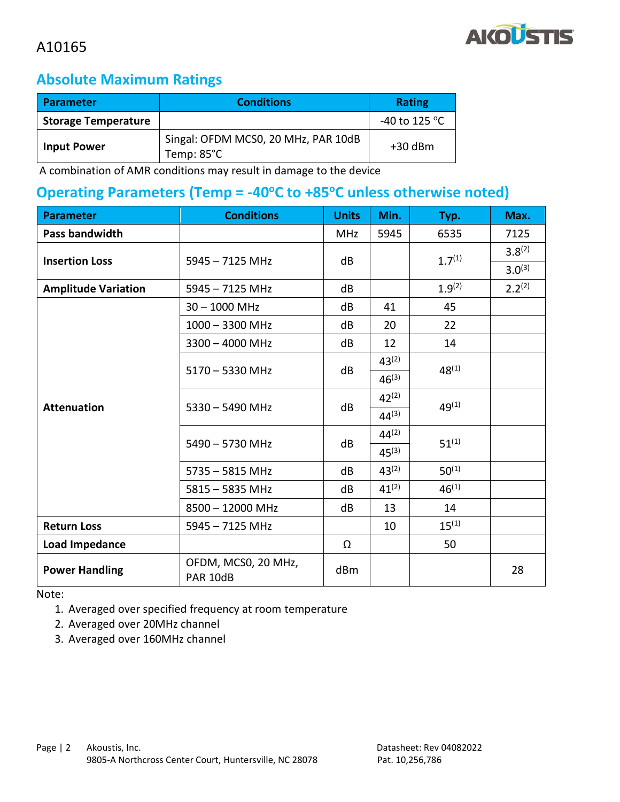

#### **Absolute Maximum Ratings**

| <b>Parameter</b>           | <b>Conditions</b>                                           |                         |
|----------------------------|-------------------------------------------------------------|-------------------------|
| <b>Storage Temperature</b> |                                                             | -40 to 125 $^{\circ}$ C |
| <b>Input Power</b>         | Singal: OFDM MCS0, 20 MHz, PAR 10dB<br>Temp: $85^{\circ}$ C | $+30$ dBm               |

A combination of AMR conditions may result in damage to the device

#### **Operating Parameters (Temp = -40°C to +85°C unless otherwise noted)**

| <b>Parameter</b>           | <b>Conditions</b>               | <b>Units</b> | Min.       | Typ.        | Max.        |
|----------------------------|---------------------------------|--------------|------------|-------------|-------------|
| <b>Pass bandwidth</b>      |                                 | <b>MHz</b>   | 5945       | 6535        | 7125        |
| <b>Insertion Loss</b>      | $5945 - 7125$ MHz               | dB           |            | $1.7^{(1)}$ | $3.8^{(2)}$ |
|                            |                                 |              |            |             | $3.0^{(3)}$ |
| <b>Amplitude Variation</b> | $5945 - 7125$ MHz               | dB           |            | $1.9^{(2)}$ | $2.2^{(2)}$ |
|                            | $30 - 1000$ MHz                 | dB           | 41         | 45          |             |
|                            | $1000 - 3300$ MHz               | dB           | 20         | 22          |             |
|                            | $3300 - 4000$ MHz               | dB           | 12         | 14          |             |
|                            | $5170 - 5330$ MHz               | dB           | $43^{(2)}$ | $48^{(1)}$  |             |
|                            |                                 |              | $46^{(3)}$ |             |             |
| <b>Attenuation</b>         | $5330 - 5490$ MHz               | dB           | $42^{(2)}$ | $49^{(1)}$  |             |
|                            |                                 |              | $44^{(3)}$ |             |             |
|                            | 5490 - 5730 MHz                 | dB           | $44^{(2)}$ | $51^{(1)}$  |             |
|                            |                                 |              | $45^{(3)}$ |             |             |
|                            | $5735 - 5815$ MHz               | dB           | $43^{(2)}$ | $50^{(1)}$  |             |
|                            | $5815 - 5835$ MHz               | dB           | $41^{(2)}$ | $46^{(1)}$  |             |
|                            | 8500 - 12000 MHz                | dB           | 13         | 14          |             |
| <b>Return Loss</b>         | $5945 - 7125$ MHz               |              | 10         | $15^{(1)}$  |             |
| <b>Load Impedance</b>      |                                 | Ω            |            | 50          |             |
| <b>Power Handling</b>      | OFDM, MCS0, 20 MHz,<br>PAR 10dB | dBm          |            |             | 28          |

Note:

1. Averaged over specified frequency at room temperature

2. Averaged over 20MHz channel

3. Averaged over 160MHz channel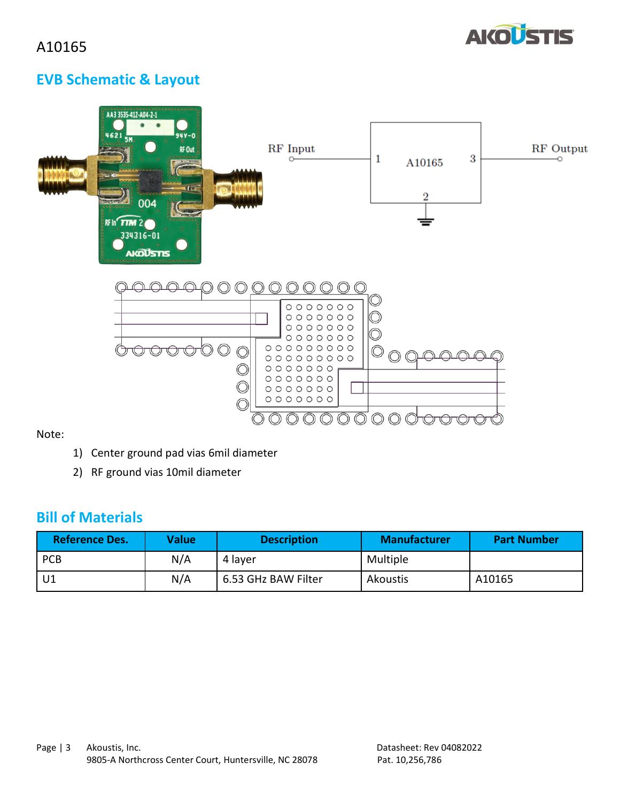

# **EVB Schematic & Layout**

| AA3 3535-412-A04-2-1<br>$\bullet$<br>$94Y - 0$<br>4621<br><b>5N.</b><br>RF Out<br><b><i><u>REBOORE</u></i></b><br>0.0.0<br><b>.</b><br><b>COMPOS</b><br><b><i><u>PROTECT</u>OR</i></b><br>16F<br>0000000000000<br>004<br><br>.<br><b>RF In<sup>C</sup>TTM 2</b><br>334316-01<br><b>AIGUSTIS</b> | RF Input                                                                                                                                  | 3<br>1<br>A10165<br>$\overline{2}$ | RF Output |
|-------------------------------------------------------------------------------------------------------------------------------------------------------------------------------------------------------------------------------------------------------------------------------------------------|-------------------------------------------------------------------------------------------------------------------------------------------|------------------------------------|-----------|
| $\bigcirc$<br>∩                                                                                                                                                                                                                                                                                 | 0000000<br>0000000<br>$0 0 0 0 0 0 0 0$<br>0000000<br>$0000000000$<br>$00000000000$<br>0000000<br>$0 0 0 0 0 0 0 0$<br>0000000<br>0000000 |                                    |           |

Note:

- 1) Center ground pad vias 6mil diameter
- 2) RF ground vias 10mil diameter

#### **Bill of Materials**

| <b>Reference Des.</b> | <b>Value</b> | <b>Description</b>  | <b>Manufacturer</b> | <b>Part Number</b> |
|-----------------------|--------------|---------------------|---------------------|--------------------|
| <b>PCB</b>            | N/A          | 4 layer             | Multiple            |                    |
|                       | N/A          | 6.53 GHz BAW Filter | Akoustis            | A10165             |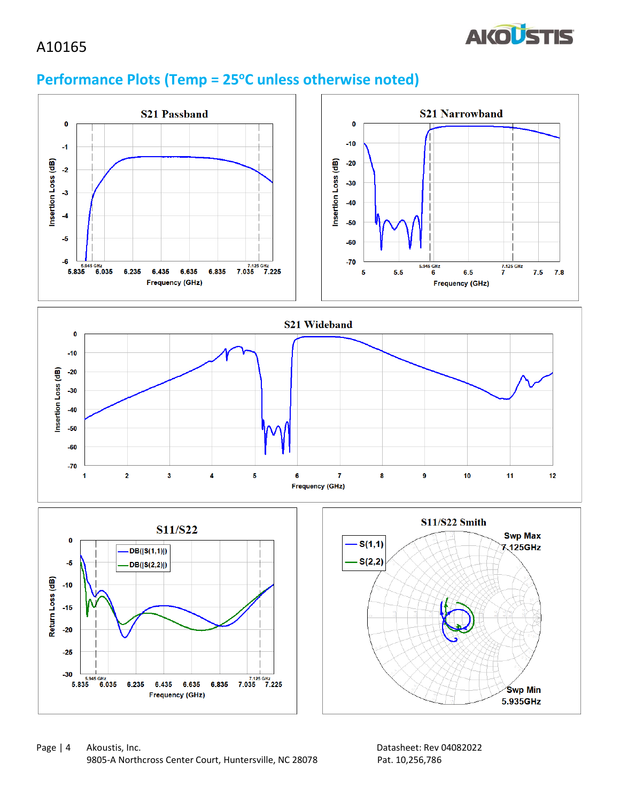

## **Performance Plots (Temp = 25oC unless otherwise noted)**

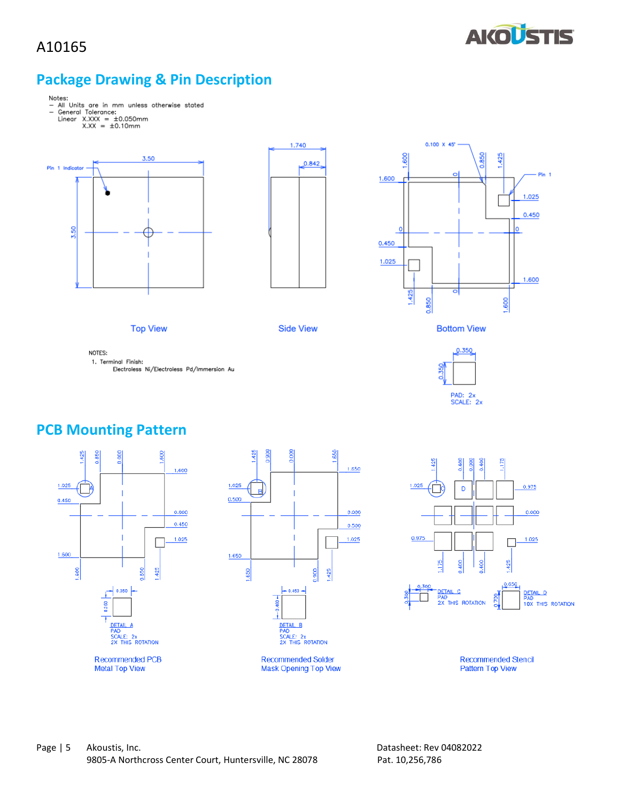

### **Package Drawing & Pin Description**



- 
- 
- 



**Top View** 





**Side View** 



NOTES: 1. Terminal Finish:

Electroless Ni/Electroless Pd/Immersion Au



#### **PCB Mounting Pattern**









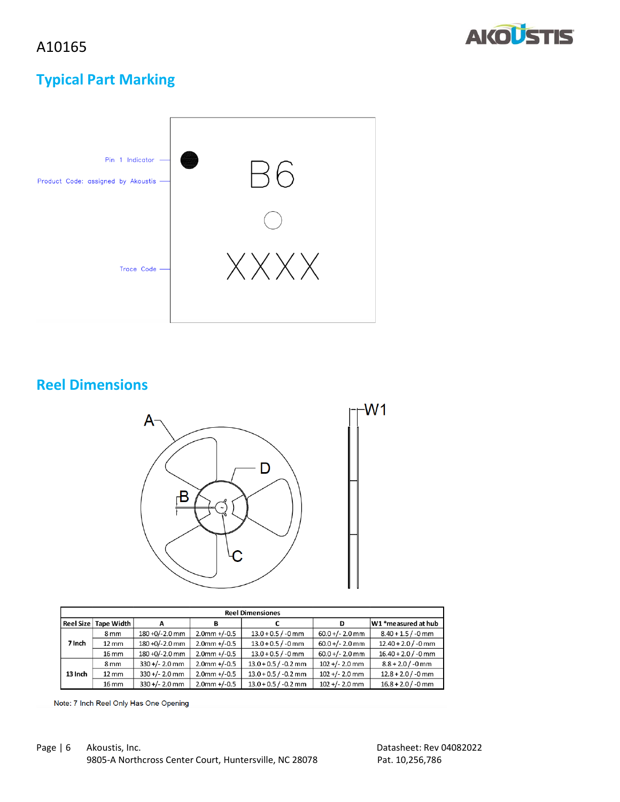



## **Typical Part Marking**



### **Reel Dimensions**



| <b>Reel Dimensiones</b> |                   |                   |                 |                        |                   |                       |  |
|-------------------------|-------------------|-------------------|-----------------|------------------------|-------------------|-----------------------|--|
| <b>Reel Size</b>        | <b>Tape Width</b> |                   | в               |                        |                   | W1 *measured at hub   |  |
|                         | 8 <sub>mm</sub>   | 180 +0/-2.0 mm    | $2.0$ mm +/-0.5 | $13.0 + 0.5 / -0$ mm   | $60.0 +/- 2.0$ mm | $8.40 + 1.5 / -0$ mm  |  |
| 7 Inch                  | $12 \, \text{mm}$ | $180 + 0/-2.0$ mm | $2.0$ mm +/-0.5 | $13.0 + 0.5 / -0$ mm   | $60.0 +/- 2.0$ mm | $12.40 + 2.0 / -0$ mm |  |
|                         | 16 mm             | 180 +0/-2.0 mm    | $2.0$ mm +/-0.5 | $13.0 + 0.5 / -0$ mm   | $60.0 +/- 2.0$ mm | $16.40 + 2.0 / -0$ mm |  |
|                         | 8 <sub>mm</sub>   | $330 +/- 2.0$ mm  | $2.0$ mm +/-0.5 | $13.0 + 0.5 / -0.2$ mm | $102 +/- 2.0$ mm  | $8.8 + 2.0 / -0$ mm   |  |
| 13 Inch                 | $12 \, \text{mm}$ | $330 +/- 2.0$ mm  | $2.0$ mm +/-0.5 | $13.0 + 0.5 / -0.2$ mm | $102 +/- 2.0$ mm  | $12.8 + 2.0 / -0$ mm  |  |
|                         | 16 mm             | $330 +/- 2.0$ mm  | $2.0$ mm +/-0.5 | $13.0 + 0.5 / -0.2$ mm | $102 +/- 2.0$ mm  | $16.8 + 2.0 / -0$ mm  |  |

Note: 7 Inch Reel Only Has One Opening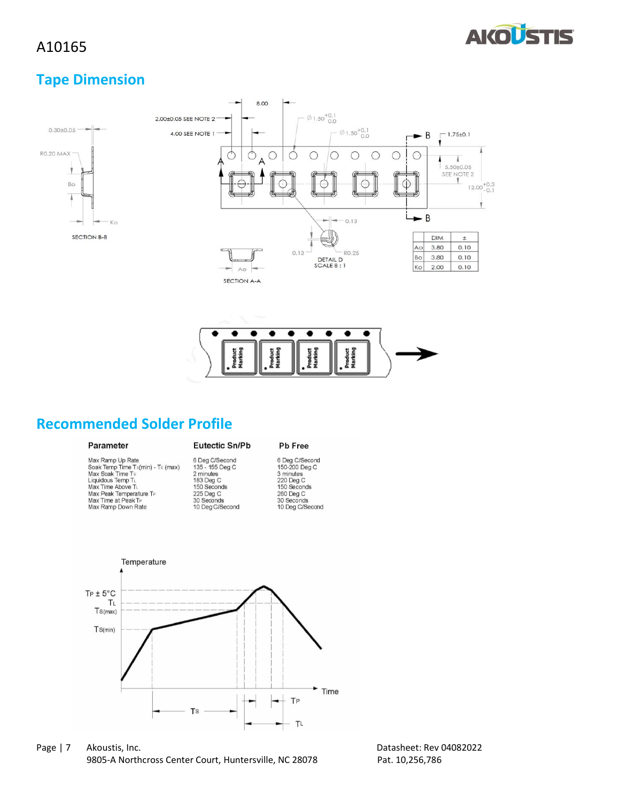

#### **Tape Dimension**





#### **Recommended Solder Profile**

#### Parameter

Max Ramp Up Rate<br>Soak Temp Time Ts(min) - Ts (max)<br>Max Soak Time Ts<br>Liquidous Temp T<sub>L</sub><br>Max Time Above T<sub>L</sub> Max Peak Temperature T<br>Max Time at Peak T<sub>P</sub><br>Max Ramp Down Rate

# Eutectic Sn/Pb 6 Deg C/Second<br>135 - 155 Deg C<br>2 minutes<br>183 Deg C<br>150 Seconds 225 Deg C<br>30 Seconds<br>10 Deg C/Second

6 Deg C/Second<br>150-200 Deg C<br>3 minutes<br>220 Deg C<br>150 Seconds 260 Deg C<br>30 Seconds<br>10 Deg C/Second

Pb Free



Page | 7 Akoustis, Inc. 2008 2022 2012 2022 2024 2024 2022 2024 2022 2024 2022 2024 2022 2022 2024 2022 2022 20 9805-A Northcross Center Court, Huntersville, NC 28078 Pat. 10,256,786